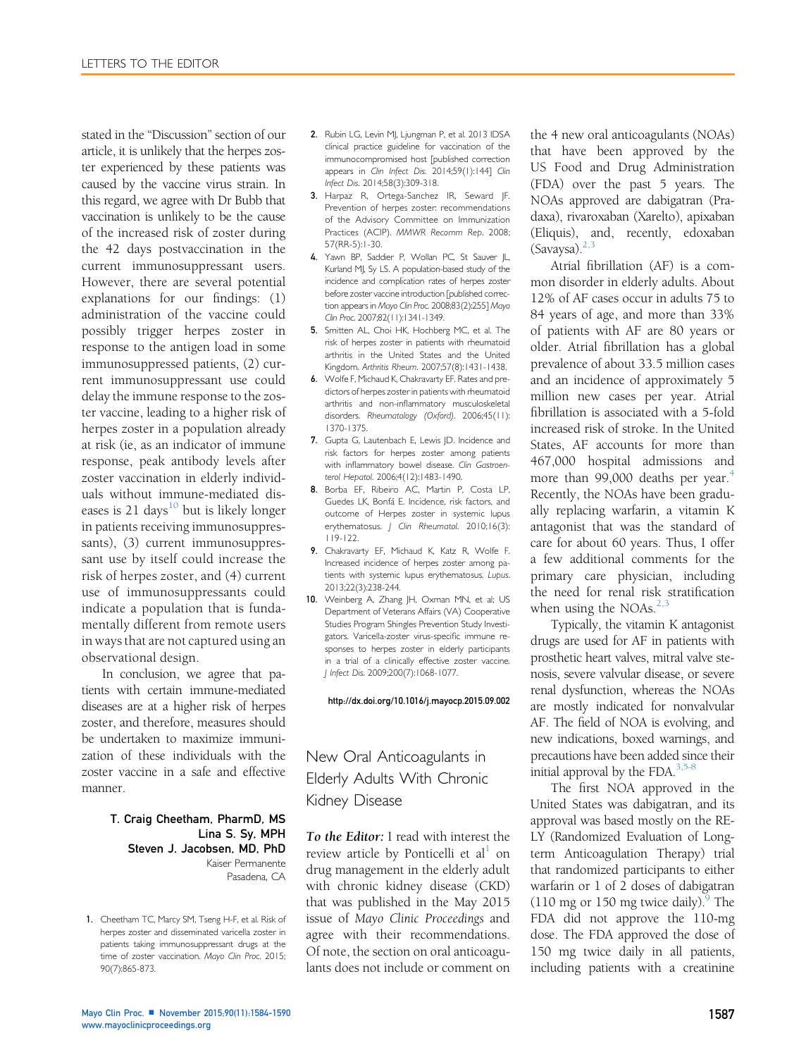stated in the "Discussion" section of our article, it is unlikely that the herpes zoster experienced by these patients was caused by the vaccine virus strain. In this regard, we agree with Dr Bubb that vaccination is unlikely to be the cause of the increased risk of zoster during the 42 days postvaccination in the current immunosuppressant users. However, there are several potential explanations for our findings: (1) administration of the vaccine could possibly trigger herpes zoster in response to the antigen load in some immunosuppressed patients, (2) current immunosuppressant use could delay the immune response to the zoster vaccine, leading to a higher risk of herpes zoster in a population already at risk (ie, as an indicator of immune response, peak antibody levels after zoster vaccination in elderly individuals without immune-mediated diseases is 21 days<sup>10</sup> but is likely longer in patients receiving immunosuppressants), (3) current immunosuppressant use by itself could increase the risk of herpes zoster, and (4) current use of immunosuppressants could indicate a population that is fundamentally different from remote users in ways that are not captured using an observational design.

In conclusion, we agree that patients with certain immune-mediated diseases are at a higher risk of herpes zoster, and therefore, measures should be undertaken to maximize immunization of these individuals with the zoster vaccine in a safe and effective manner.

### T. Craig Cheetham, PharmD, MS Lina S. Sy, MPH Steven J. Jacobsen, MD, PhD Kaiser Permanente Pasadena, CA

1. Cheetham TC, Marcy SM, Tseng H-F, et al. Risk of herpes zoster and disseminated varicella zoster in patients taking immunosuppressant drugs at the time of zoster vaccination. Mayo Clin Proc. 2015; 90(7):865-873.

- 2. Rubin LG, Levin MJ, Ljungman P, et al. 2013 IDSA clinical practice guideline for vaccination of the immunocompromised host [published correction appears in Clin Infect Dis. 2014;59(1):144] Clin Infect Dis. 2014;58(3):309-318.
- 3. Harpaz R, Ortega-Sanchez IR, Seward JF. Prevention of herpes zoster: recommendations of the Advisory Committee on Immunization Practices (ACIP). MMWR Recomm Rep. 2008; 57(RR-5):1-30.
- 4. Yawn BP, Saddier P, Wollan PC, St Sauver JL, Kurland MJ, Sy LS. A population-based study of the incidence and complication rates of herpes zoster before zoster vaccine introduction [published correction appears in Mayo Clin Proc. 2008;83(2):255] Mayo Clin Proc. 2007;82(11):1341-1349.
- 5. Smitten AL, Choi HK, Hochberg MC, et al. The risk of herpes zoster in patients with rheumatoid arthritis in the United States and the United Kingdom. Arthritis Rheum. 2007;57(8):1431-1438.
- 6. Wolfe F, Michaud K, Chakravarty EF. Rates and predictors of herpes zoster in patients with rheumatoid arthritis and non-inflammatory musculoskeletal disorders. Rheumatology (Oxford). 2006;45(11): 1370-1375.
- 7. Gupta G, Lautenbach E, Lewis JD. Incidence and risk factors for herpes zoster among patients with inflammatory bowel disease. Clin Gastroenterol Hepatol. 2006;4(12):1483-1490.
- 8. Borba EF, Ribeiro AC, Martin P, Costa LP, Guedes LK, Bonfá E. Incidence, risk factors, and outcome of Herpes zoster in systemic lupus erythematosus. J Clin Rheumatol. 2010;16(3): 119-122.
- 9. Chakravarty EF, Michaud K, Katz R, Wolfe F. Increased incidence of herpes zoster among patients with systemic lupus erythematosus. Lupus. 2013;22(3):238-244.
- 10. Weinberg A, Zhang JH, Oxman MN, et al; US Department of Veterans Affairs (VA) Cooperative Studies Program Shingles Prevention Study Investigators. Varicella-zoster virus-specific immune responses to herpes zoster in elderly participants in a trial of a clinically effective zoster vaccine. J Infect Dis. 2009;200(7):1068-1077.

### <http://dx.doi.org/10.1016/j.mayocp.2015.09.002>

# New Oral Anticoagulants in Elderly Adults With Chronic Kidney Disease

To the Editor: I read with interest the review article by Ponticelli et  $al<sup>1</sup>$  on drug management in the elderly adult with chronic kidney disease (CKD) that was published in the May 2015 issue of Mayo Clinic Proceedings and agree with their recommendations. Of note, the section on oral anticoagulants does not include or comment on the 4 new oral anticoagulants (NOAs) that have been approved by the US Food and Drug Administration (FDA) over the past 5 years. The NOAs approved are dabigatran (Pradaxa), rivaroxaban (Xarelto), apixaban (Eliquis), and, recently, edoxaban  $(Savaysa).^{2,3}$  $(Savaysa).^{2,3}$  $(Savaysa).^{2,3}$ 

Atrial fibrillation (AF) is a common disorder in elderly adults. About 12% of AF cases occur in adults 75 to 84 years of age, and more than 33% of patients with AF are 80 years or older. Atrial fibrillation has a global prevalence of about 33.5 million cases and an incidence of approximately 5 million new cases per year. Atrial fibrillation is associated with a 5-fold increased risk of stroke. In the United States, AF accounts for more than 467,000 hospital admissions and more than 99,000 deaths per year.<sup>[4](#page-2-0)</sup> Recently, the NOAs have been gradually replacing warfarin, a vitamin K antagonist that was the standard of care for about 60 years. Thus, I offer a few additional comments for the primary care physician, including the need for renal risk stratification when using the NOAs. $2,3$ 

Typically, the vitamin K antagonist drugs are used for AF in patients with prosthetic heart valves, mitral valve stenosis, severe valvular disease, or severe renal dysfunction, whereas the NOAs are mostly indicated for nonvalvular AF. The field of NOA is evolving, and new indications, boxed warnings, and precautions have been added since their initial approval by the FDA.<sup>[3,5-8](#page-2-0)</sup>

The first NOA approved in the United States was dabigatran, and its approval was based mostly on the RE-LY (Randomized Evaluation of Longterm Anticoagulation Therapy) trial that randomized participants to either warfarin or 1 of 2 doses of dabigatran  $(110 \text{ mg or } 150 \text{ mg twice daily})$ .<sup>9</sup> The FDA did not approve the 110-mg dose. The FDA approved the dose of 150 mg twice daily in all patients, including patients with a creatinine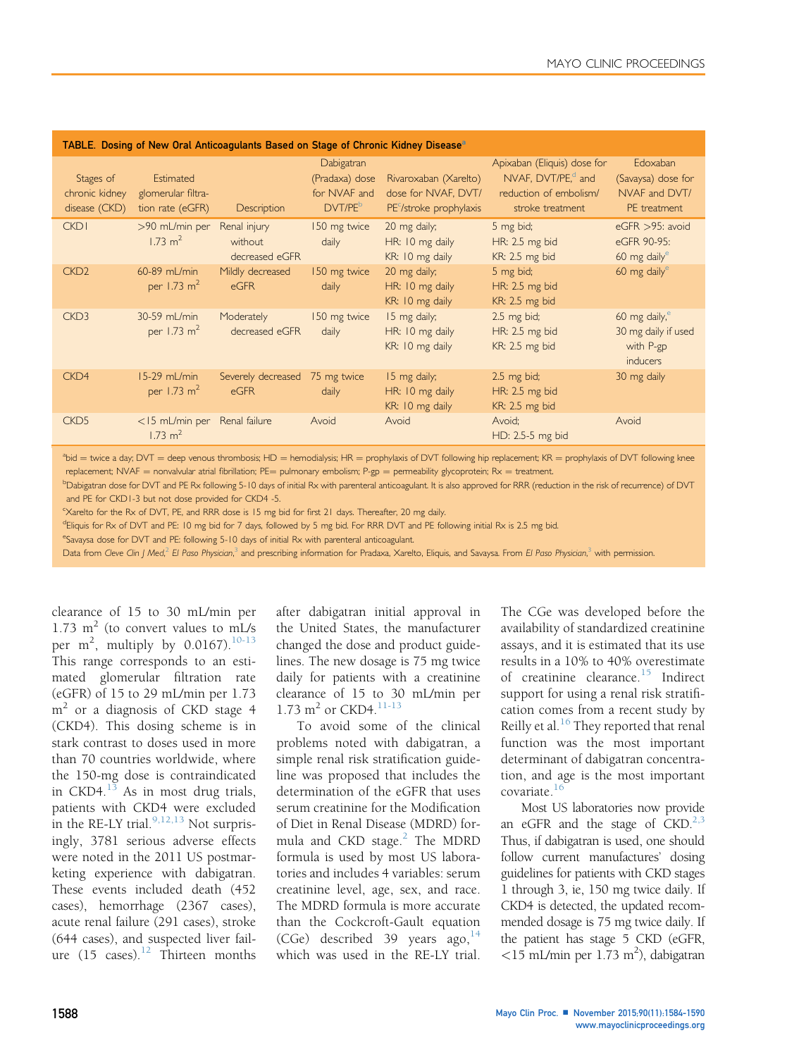<span id="page-1-0"></span>

| TABLE. Dosing of New Oral Anticoagulants Based on Stage of Chronic Kidney Disease <sup>a</sup> |                                                     |                                           |                                                                     |                                                                          |                                                                                                             |                                                                   |
|------------------------------------------------------------------------------------------------|-----------------------------------------------------|-------------------------------------------|---------------------------------------------------------------------|--------------------------------------------------------------------------|-------------------------------------------------------------------------------------------------------------|-------------------------------------------------------------------|
| Stages of<br>chronic kidney<br>disease (CKD)                                                   | Estimated<br>glomerular filtra-<br>tion rate (eGFR) | Description                               | Dabigatran<br>(Pradaxa) dose<br>for NVAF and<br>DVT/PE <sup>b</sup> | Rivaroxaban (Xarelto)<br>dose for NVAF, DVT/<br>$PEc/stroke$ prophylaxis | Apixaban (Eliquis) dose for<br>NVAF, DVT/PE, <sup>d</sup> and<br>reduction of embolism/<br>stroke treatment | Edoxaban<br>(Savaysa) dose for<br>NVAF and DVT/<br>PE treatment   |
| <b>CKD1</b>                                                                                    | >90 mL/min per<br>$1.73 \text{ m}^2$                | Renal injury<br>without<br>decreased eGFR | 150 mg twice<br>daily                                               | 20 mg daily;<br>HR: 10 mg daily<br>KR: 10 mg daily                       | 5 mg bid;<br>HR: 2.5 mg bid<br>KR: 2.5 mg bid                                                               | eGFR >95: avoid<br>eGFR 90-95:<br>60 mg daily <sup>e</sup>        |
| CKD <sub>2</sub>                                                                               | 60-89 mL/min<br>per 1.73 $m^2$                      | Mildly decreased<br>eGFR                  | 150 mg twice<br>daily                                               | 20 mg daily;<br>HR: 10 mg daily<br>KR: 10 mg daily                       | 5 mg bid;<br>HR: 2.5 mg bid<br>KR: 2.5 mg bid                                                               | 60 mg daily $e$                                                   |
| CKD <sub>3</sub>                                                                               | 30-59 mL/min<br>per 1.73 $m2$                       | Moderately<br>decreased eGFR              | 150 mg twice<br>daily                                               | 15 mg daily;<br>HR: 10 mg daily<br>KR: 10 mg daily                       | $2.5 \text{ mg bid}$ ;<br>HR: 2.5 mg bid<br>KR: 2.5 mg bid                                                  | 60 mg daily, $^e$<br>30 mg daily if used<br>with P-gp<br>inducers |
| CKD4                                                                                           | $15-29$ mL/min<br>per 1.73 $m2$                     | Severely decreased 75 mg twice<br>eGFR    | daily                                                               | 15 mg daily;<br>HR: 10 mg daily<br>KR: 10 mg daily                       | $2.5 \text{ mg bid}$ ;<br>HR: 2.5 mg bid<br>KR: 2.5 mg bid                                                  | 30 mg daily                                                       |
| CKD <sub>5</sub>                                                                               | $<$ 15 mL/min per<br>$1.73 \text{ m}^2$             | Renal failure                             | Avoid                                                               | Avoid                                                                    | Avoid;<br>HD: 2.5-5 mg bid                                                                                  | Avoid                                                             |

 $a_{\text{bid}}$  = twice a day; DVT = deep venous thrombosis; HD = hemodialysis; HR = prophylaxis of DVT following hip replacement; KR = prophylaxis of DVT following knee replacement; NVAF = nonvalvular atrial fibrillation; PE= pulmonary embolism; P-gp = permeability glycoprotein; Rx = treatment.

**Dabigatran dose for DVT and PE Rx following 5-10 days of initial Rx with parenteral anticoagulant. It is also approved for RRR (reduction in the risk of recurrence) of DVT** and PE for CKD1-3 but not dose provided for CKD4 -5.

c Xarelto for the Rx of DVT, PE, and RRR dose is 15 mg bid for first 21 days. Thereafter, 20 mg daily.

dEliquis for Rx of DVT and PE: 10 mg bid for 7 days, followed by 5 mg bid. For RRR DVT and PE following initial Rx is 2.5 mg bid.

eSavaysa dose for DVT and PE: following 5-10 days of initial Rx with parenteral anticoagulant.

Data from Cleve Clin J Med,<sup>[2](#page-2-0)</sup> El Paso Physician,<sup>[3](#page-2-0)</sup> and prescribing information for Pradaxa, Xarelto, Eliquis, and Savaysa. From El Paso Physician,<sup>3</sup> with permission.

clearance of 15 to 30 mL/min per 1.73  $m^2$  (to convert values to mL/s per  $m^2$ , multiply by 0.0167).<sup>[10-13](#page-2-0)</sup> This range corresponds to an estimated glomerular filtration rate (eGFR) of 15 to 29 mL/min per 1.73  $m<sup>2</sup>$  or a diagnosis of CKD stage 4 (CKD4). This dosing scheme is in stark contrast to doses used in more than 70 countries worldwide, where the 150-mg dose is contraindicated in CKD4. $^{13}$  $^{13}$  $^{13}$  As in most drug trials, patients with CKD4 were excluded in the RE-LY trial. $9,12,13$  Not surprisingly, 3781 serious adverse effects were noted in the 2011 US postmarketing experience with dabigatran. These events included death (452 cases), hemorrhage (2367 cases), acute renal failure (291 cases), stroke (644 cases), and suspected liver failure  $(15 \text{ cases})$ .<sup>[12](#page-2-0)</sup> Thirteen months

after dabigatran initial approval in the United States, the manufacturer changed the dose and product guidelines. The new dosage is 75 mg twice daily for patients with a creatinine clearance of 15 to 30 mL/min per 1.73  $m^2$  or CKD4.<sup>[11-13](#page-2-0)</sup>

To avoid some of the clinical problems noted with dabigatran, a simple renal risk stratification guideline was proposed that includes the determination of the eGFR that uses serum creatinine for the Modification of Diet in Renal Disease (MDRD) for-mula and CKD stage.<sup>[2](#page-2-0)</sup> The MDRD formula is used by most US laboratories and includes 4 variables: serum creatinine level, age, sex, and race. The MDRD formula is more accurate than the Cockcroft-Gault equation  $(CGe)$  described 39 years ago,  $14$ which was used in the RE-LY trial.

The CGe was developed before the availability of standardized creatinine assays, and it is estimated that its use results in a 10% to 40% overestimate of creatinine clearance.<sup>[15](#page-2-0)</sup> Indirect support for using a renal risk stratification comes from a recent study by Reilly et al. $^{16}$  $^{16}$  $^{16}$  They reported that renal function was the most important determinant of dabigatran concentration, and age is the most important covariate.<sup>[16](#page-2-0)</sup>

Most US laboratories now provide an eGFR and the stage of  $CKD.<sup>2,3</sup>$ Thus, if dabigatran is used, one should follow current manufactures' dosing guidelines for patients with CKD stages 1 through 3, ie, 150 mg twice daily. If CKD4 is detected, the updated recommended dosage is 75 mg twice daily. If the patient has stage 5 CKD (eGFR,  $<$ 15 mL/min per 1.73 m<sup>2</sup>), dabigatran